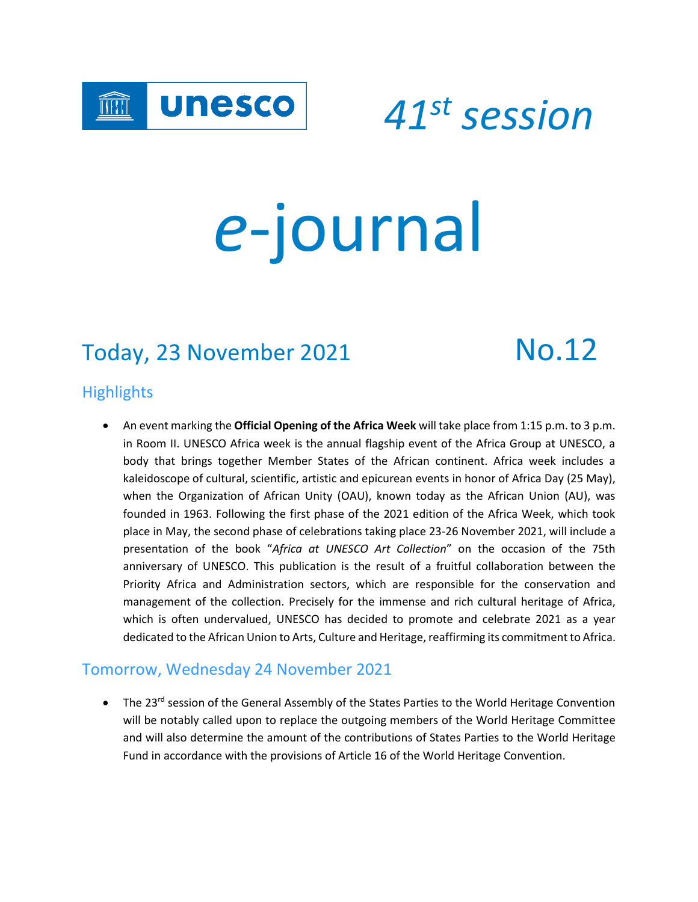

 *<sup>41</sup>st session*

# *e*-journal

# Today, 23 November 2021 No.12

#### **Highlights**

• An event marking the **Official Opening of the Africa Week** will take place from 1:15 p.m. to 3 p.m. in Room II. UNESCO Africa week is the annual flagship event of the Africa Group at UNESCO, a body that brings together Member States of the African continent. Africa week includes a kaleidoscope of cultural, scientific, artistic and epicurean events in honor of Africa Day (25 May), when the Organization of African Unity (OAU), known today as the African Union (AU), was founded in 1963. Following the first phase of the 2021 edition of the Africa Week, which took place in May, the second phase of celebrations taking place 23-26 November 2021, will include a presentation of the book "*Africa at UNESCO Art Collection*" on the occasion of the 75th anniversary of UNESCO. This publication is the result of a fruitful collaboration between the Priority Africa and Administration sectors, which are responsible for the conservation and management of the collection. Precisely for the immense and rich cultural heritage of Africa, which is often undervalued, UNESCO has decided to promote and celebrate 2021 as a year dedicated to the African Union to Arts, Culture and Heritage, reaffirming its commitment to Africa.

#### Tomorrow, Wednesday 24 November 2021

• The 23<sup>rd</sup> session of the General Assembly of the States Parties to the World Heritage Convention will be notably called upon to replace the outgoing members of the World Heritage Committee and will also determine the amount of the contributions of States Parties to the World Heritage Fund in accordance with the provisions of Article 16 of the World Heritage Convention.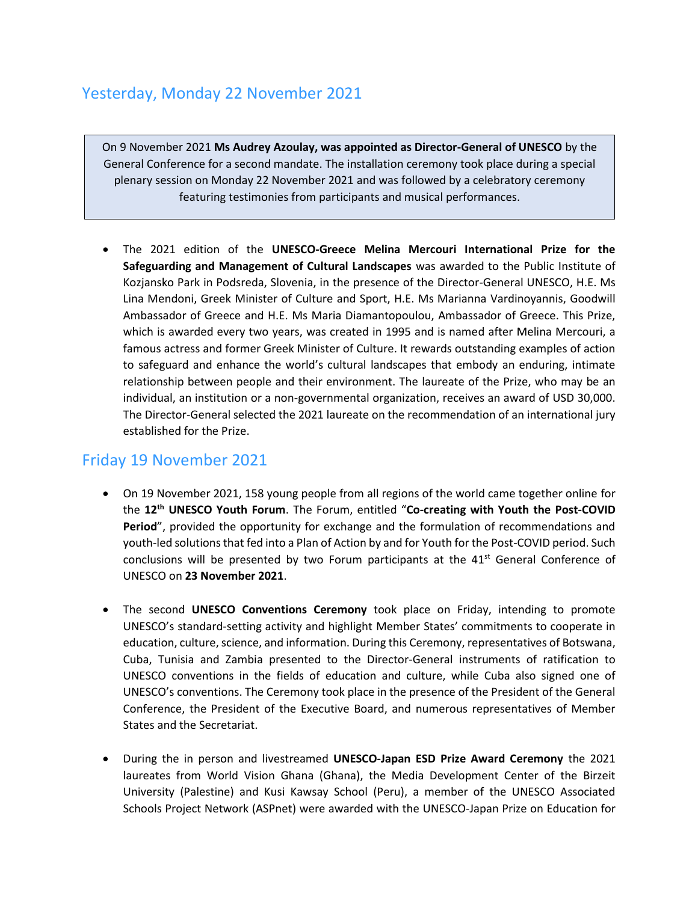#### Yesterday, Monday 22 November 2021

On 9 November 2021 **Ms Audrey Azoulay, was appointed as Director-General of UNESCO** by the General Conference for a second mandate. The installation ceremony took place during a special plenary session on Monday 22 November 2021 and was followed by a celebratory ceremony featuring testimonies from participants and musical performances.

• The 2021 edition of the **UNESCO-Greece Melina Mercouri International Prize for the Safeguarding and Management of Cultural Landscapes** was awarded to the Public Institute of Kozjansko Park in Podsreda, Slovenia, in the presence of the Director-General UNESCO, H.E. Ms Lina Mendoni, Greek Minister of Culture and Sport, H.E. Ms Marianna Vardinoyannis, Goodwill Ambassador of Greece and H.E. Ms Maria Diamantopoulou, Ambassador of Greece. This Prize, which is awarded every two years, was created in 1995 and is named after Melina Mercouri, a famous actress and former Greek Minister of Culture. It rewards outstanding examples of action to safeguard and enhance the world's cultural landscapes that embody an enduring, intimate relationship between people and their environment. The laureate of the Prize, who may be an individual, an institution or a non-governmental organization, receives an award of USD 30,000. The Director-General selected the 2021 laureate on the recommendation of an international jury established for the Prize.

#### Friday 19 November 2021

- On 19 November 2021, 158 young people from all regions of the world came together online for the **12th UNESCO Youth Forum**. The Forum, entitled "**Co-creating with Youth the Post-COVID Period**", provided the opportunity for exchange and the formulation of recommendations and youth-led solutions that fed into a Plan of Action by and for Youth for the Post-COVID period. Such conclusions will be presented by two Forum participants at the  $41<sup>st</sup>$  General Conference of UNESCO on **23 November 2021**.
- The second **UNESCO Conventions Ceremony** took place on Friday, intending to promote UNESCO's standard-setting activity and highlight Member States' commitments to cooperate in education, culture, science, and information. During this Ceremony, representatives of Botswana, Cuba, Tunisia and Zambia presented to the Director-General instruments of ratification to UNESCO conventions in the fields of education and culture, while Cuba also signed one of UNESCO's conventions. The Ceremony took place in the presence of the President of the General Conference, the President of the Executive Board, and numerous representatives of Member States and the Secretariat.
- During the in person and livestreamed **UNESCO-Japan ESD Prize Award Ceremony** the 2021 laureates from World Vision Ghana (Ghana), the Media Development Center of the Birzeit University (Palestine) and Kusi Kawsay School (Peru), a member of the UNESCO Associated Schools Project Network (ASPnet) were awarded with the UNESCO-Japan Prize on Education for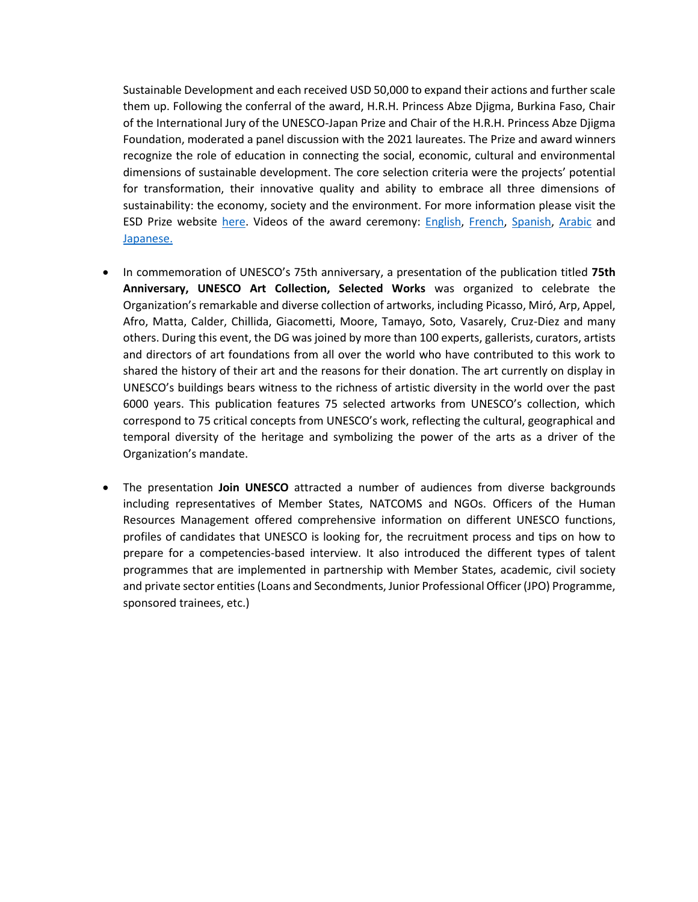Sustainable Development and each received USD 50,000 to expand their actions and further scale them up. Following the conferral of the award, H.R.H. Princess Abze Djigma, Burkina Faso, Chair of the International Jury of the UNESCO-Japan Prize and Chair of the H.R.H. Princess Abze Djigma Foundation, moderated a panel discussion with the 2021 laureates. The Prize and award winners recognize the role of education in connecting the social, economic, cultural and environmental dimensions of sustainable development. The core selection criteria were the projects' potential for transformation, their innovative quality and ability to embrace all three dimensions of sustainability: the economy, society and the environment. For more information please visit the ESD Prize website [here.](https://en.unesco.org/prize-esd) Videos of the award ceremony: [English,](https://www.youtube.com/watch?v=IPGmQsctvdE) [French,](https://www.youtube.com/watch?v=HyMJSEyIHRU) [Spanish,](https://www.youtube.com/watch?v=rmiVqTf0BlM&t=2s) [Arabic](https://www.youtube.com/watch?v=nU_899GEXJU) and [Japanese.](https://www.youtube.com/watch?v=Xl4iLtbkCwQ)

- In commemoration of UNESCO's 75th anniversary, a presentation of the publication titled **75th Anniversary, UNESCO Art Collection, Selected Works** was organized to celebrate the Organization's remarkable and diverse collection of artworks, including Picasso, Miró, Arp, Appel, Afro, Matta, Calder, Chillida, Giacometti, Moore, Tamayo, Soto, Vasarely, Cruz-Diez and many others. During this event, the DG was joined by more than 100 experts, gallerists, curators, artists and directors of art foundations from all over the world who have contributed to this work to shared the history of their art and the reasons for their donation. The art currently on display in UNESCO's buildings bears witness to the richness of artistic diversity in the world over the past 6000 years. This publication features 75 selected artworks from UNESCO's collection, which correspond to 75 critical concepts from UNESCO's work, reflecting the cultural, geographical and temporal diversity of the heritage and symbolizing the power of the arts as a driver of the Organization's mandate.
- The presentation **Join UNESCO** attracted a number of audiences from diverse backgrounds including representatives of Member States, NATCOMS and NGOs. Officers of the Human Resources Management offered comprehensive information on different UNESCO functions, profiles of candidates that UNESCO is looking for, the recruitment process and tips on how to prepare for a competencies-based interview. It also introduced the different types of talent programmes that are implemented in partnership with Member States, academic, civil society and private sector entities (Loans and Secondments, Junior Professional Officer (JPO) Programme, sponsored trainees, etc.)